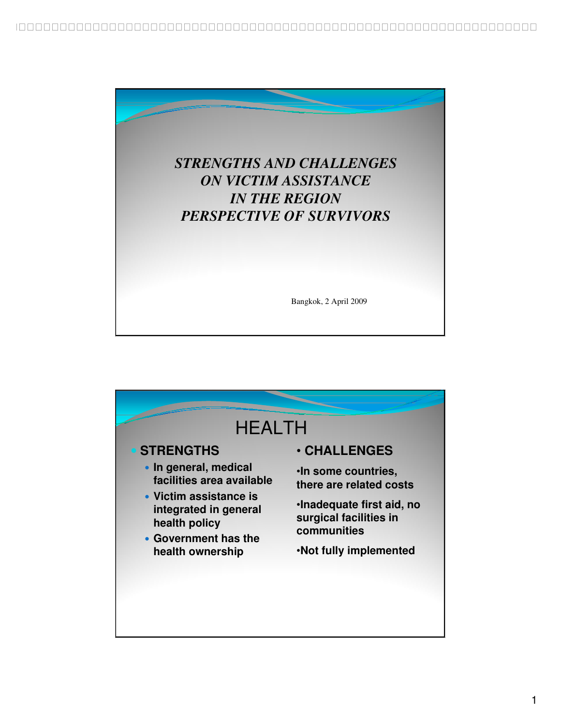

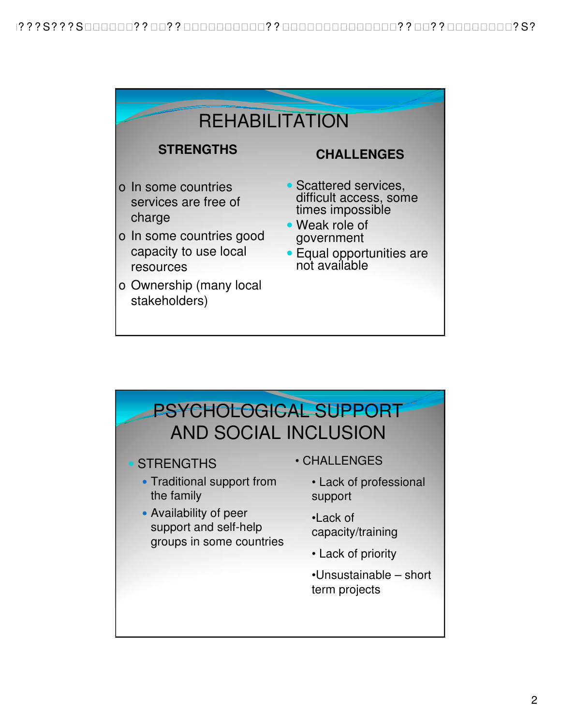

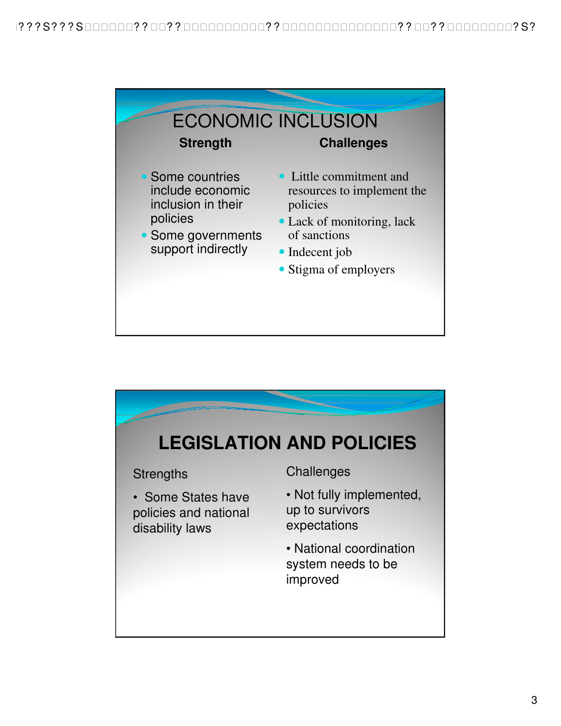